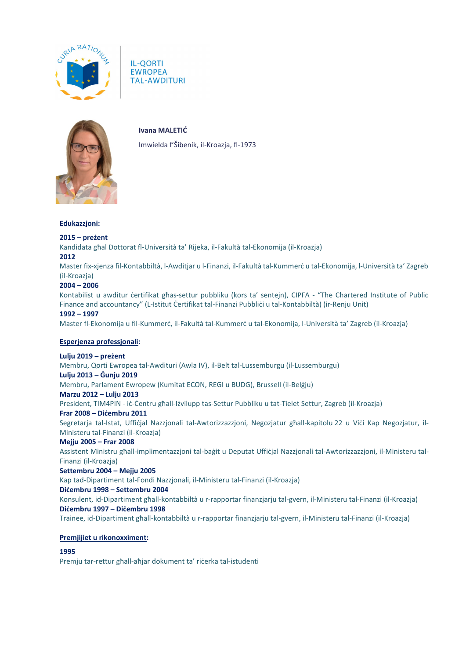

**IL-QORTI EWROPEA TAL-AWDITURI** 



**Ivana MALETIĆ**

Imwielda f'Šibenik, il-Kroazja, fl-1973

#### **Edukazzjoni:**

## **2015 – preżent**

Kandidata għal Dottorat fl-Università ta' Rijeka, il-Fakultà tal-Ekonomija (il-Kroazja)

#### **2012**

Master fix-xjenza fil-Kontabbiltà, l-Awditjar u l-Finanzi, il-Fakultà tal-Kummerċ u tal-Ekonomija, l-Università ta' Zagreb (il-Kroazja)

# **2004 – 2006**

Kontabilist u awditur certifikat għas-settur pubbliku (kors ta' sentejn), CIPFA - "The Chartered Institute of Public Finance and accountancy" (L-Istitut Certifikat tal-Finanzi Pubblici u tal-Kontabbiltà) (ir-Renju Unit)

## **1992 – 1997**

Master fl-Ekonomija u fil-Kummerċ, il-Fakultà tal-Kummerċ u tal-Ekonomija, l-Università ta' Zagreb (il-Kroazja)

#### **Esperjenza professjonali:**

### **Lulju 2019 – preżent**

Membru, Qorti Ewropea tal-Awdituri (Awla IV), il-Belt tal-Lussemburgu (il-Lussemburgu)

#### **Lulju 2013 – Ġunju 2019**

Membru, Parlament Ewropew (Kumitat ECON, REGI u BUDG), Brussell (il-Belġju)

#### **Marzu 2012 – Lulju 2013**

President, TIM4PIN - iċ-Ċentru għall-Iżvilupp tas-Settur Pubbliku u tat-Tielet Settur, Zagreb (il-Kroazja)

#### **Frar 2008 – Diċembru 2011**

Segretarja tal-Istat, Uffiċjal Nazzjonali tal-Awtorizzazzjoni, Negozjatur għall-kapitolu 22 u Viċi Kap Negozjatur, il-Ministeru tal-Finanzi (il-Kroazja)

#### **Mejju 2005 – Frar 2008**

Assistent Ministru għall-implimentazzjoni tal-baġit u Deputat Uffiċjal Nazzjonali tal-Awtorizzazzjoni, il-Ministeru tal-Finanzi (il-Kroazja)

#### **Settembru 2004 – Mejju 2005**

Kap tad-Dipartiment tal-Fondi Nazzjonali, il-Ministeru tal-Finanzi (il-Kroazja)

#### **Diċembru 1998 – Settembru 2004**

Konsulent, id-Dipartiment għall-kontabbiltà u r-rapportar finanzjarju tal-gvern, il-Ministeru tal-Finanzi (il-Kroazja) **Diċembru 1997 – Diċembru 1998**

Trainee, id-Dipartiment għall-kontabbiltà u r-rapportar finanzjarju tal-gvern, il-Ministeru tal-Finanzi (il-Kroazja)

#### **Premjijiet u rikonoxximent:**

# **1995**

Premju tar-rettur għall-aħjar dokument ta' riċerka tal-istudenti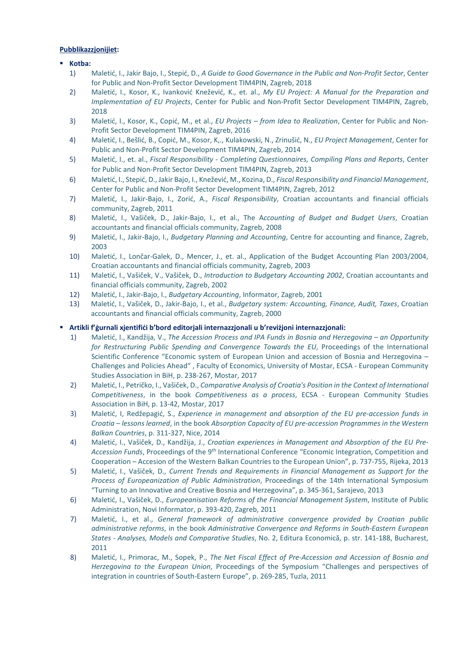### **Pubblikazzjonijiet:**

## **Kotba:**

- 1) Maletić, I., Jakir Bajo, I., Stepić, D., *A Guide to Good Governance in the Public and Non-Profit Sector*, Center for Public and Non-Profit Sector Development TIM4PIN, Zagreb, 2018
- 2) Maletić, I., Kosor, K., Ivanković Knežević, K., et. al., *My EU Project: A Manual for the Preparation and Implementation of EU Projects*, Center for Public and Non-Profit Sector Development TIM4PIN, Zagreb, 2018
- 3) Maletić, I., Kosor, K., Copić, M., et al., *EU Projects – from Idea to Realization*, Center for Public and Non-Profit Sector Development TIM4PIN, Zagreb, 2016
- 4) Maletić, I., Bešlić, B., Copić, M., Kosor, K,., Kulakowski, N., Zrinušić, N., *EU Project Management*, Center for Public and Non-Profit Sector Development TIM4PIN, Zagreb, 2014
- 5) Maletić, I., et. al., *Fiscal Responsibility - Completing Questionnaires, Compiling Plans and Reports*, Center for Public and Non-Profit Sector Development TIM4PIN, Zagreb, 2013
- 6) Maletić, I., Stepić, D., Jakir Bajo, I., Knežević, M., Kozina, D., *Fiscal Responsibility and Financial Management*, Center for Public and Non-Profit Sector Development TIM4PIN, Zagreb, 2012
- 7) Maletić, I., Jakir-Bajo, I., Zorić, A., *Fiscal Responsibility*, Croatian accountants and financial officials community, Zagreb, 2011
- 8) Maletić, I., Vašiček, D., Jakir-Bajo, I., et al., The A*ccounting of Budget and Budget Users*, Croatian accountants and financial officials community, Zagreb, 2008
- 9) Maletić, I., Jakir-Bajo, I., *Budgetary Planning and Accounting*, Centre for accounting and finance, Zagreb, 2003
- 10) Maletić, I., Lončar-Galek, D., Mencer, J., et. al., Application of the Budget Accounting Plan 2003/2004, Croatian accountants and financial officials community, Zagreb, 2003
- 11) Maletić, I., Vašiček, V., Vašiček, D., *Introduction to Budgetary Accounting 2002*, Croatian accountants and financial officials community, Zagreb, 2002
- 12) Maletić, I., Jakir-Bajo, I., *Budgetary Accounting*, Informator, Zagreb, 2001
- 13) Maletić, I., Vašiček, D., Jakir-Bajo, I., et al., *Budgetary system: Accounting, Finance, Audit, Taxes*, Croatian accountants and financial officials community, Zagreb, 2000

## **Artikli f'ġurnali xjentifiċi b'bord editorjali internazzjonali u b'reviżjoni internazzjonali:**

- 1) Maletić, I., Kandžija, V., *The Accession Process and IPA Funds in Bosnia and Herzegovina – an Opportunity for Restructuring Public Spending and Convergence Towards the EU*, Proceedings of the International Scientific Conference "Economic system of European Union and accession of Bosnia and Herzegovina – Challenges and Policies Ahead" , Faculty of Economics, University of Mostar, ECSA - European Community Studies Association in BiH, p. 238-267, Mostar, 2017
- 2) Maletić, I., Petričko, I., Vašiček, D., *Comparative Analysis of Croatia's Position in the Context of International Competitiveness*, in the book *Competitiveness as a process*, ECSA - European Community Studies Association in BiH, p. 13-42, Mostar, 2017
- 3) Maletić, I, Redžepagić, S., *Experience in management and absorption of the EU pre-accession funds in Croatia – lessons learned*, in the book *Absorption Capacity of EU pre-accession Programmes in the Western Balkan Countries*, p. 311-327, Nice, 2014
- 4) Maletić, I., Vašiček, D., Kandžija, J., *Croatian experiences in Management and Absorption of the EU Pre-Accession Funds*, Proceedings of the 9th International Conference "Economic Integration, Competition and Cooperation – Accesion of the Western Balkan Countries to the European Union", p. 737-755, Rijeka, 2013
- 5) Maletić, I., Vašiček, D., *Current Trends and Requirements in Financial Management as Support for the Process of Europeanization of Public Administration*, Proceedings of the 14th International Symposium "Turning to an Innovative and Creative Bosnia and Herzegovina", p. 345-361, Sarajevo, 2013
- 6) Maletić, I., Vašiček, D., *Europeanisation Reforms of the Financial Management System*, Institute of Public Administration, Novi Informator, p. 393-420, Zagreb, 2011
- 7) Maletić, I., et al., *General framework of administrative convergence provided by Croatian public administrative reforms*, in the book *Administrative Convergence and Reforms in South-Eastern European States - Analyses, Models and Comparative Studies*, No. 2, Editura Economică, p. str. 141-188, Bucharest, 2011
- 8) Maletić, I., Primorac, M., Sopek, P., *The Net Fiscal Effect of Pre-Accession and Accession of Bosnia and Herzegovina to the European Union*, Proceedings of the Symposium "Challenges and perspectives of integration in countries of South-Eastern Europe", p. 269-285, Tuzla, 2011